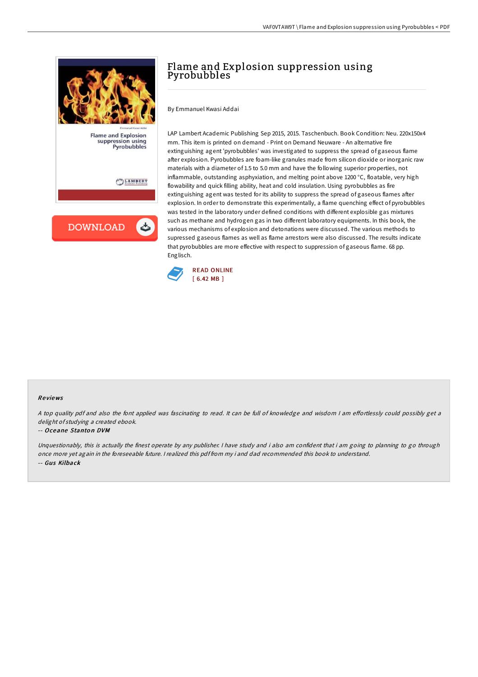

# Flame and Explosion suppression using Pyrobubbles

By Emmanuel Kwasi Addai

LAP Lambert Academic Publishing Sep 2015, 2015. Taschenbuch. Book Condition: Neu. 220x150x4 mm. This item is printed on demand - Print on Demand Neuware - An alternative fire extinguishing agent 'pyrobubbles' was investigated to suppress the spread of gaseous flame after explosion. Pyrobubbles are foam-like granules made from silicon dioxide or inorganic raw materials with a diameter of 1.5 to 5.0 mm and have the following superior properties, not inflammable, outstanding asphyxiation, and melting point above 1200 °C, floatable, very high flowability and quick filling ability, heat and cold insulation. Using pyrobubbles as fire extinguishing agent was tested for its ability to suppress the spread of gaseous flames after explosion. In order to demonstrate this experimentally, a flame quenching effect of pyrobubbles was tested in the laboratory under defined conditions with different explosible gas mixtures such as methane and hydrogen gas in two different laboratory equipments. In this book, the various mechanisms of explosion and detonations were discussed. The various methods to supressed gaseous flames as well as flame arrestors were also discussed. The results indicate that pyrobubbles are more effective with respect to suppression of gaseous flame. 68 pp. Englisch.



#### Re views

A top quality pdf and also the font applied was fascinating to read. It can be full of knowledge and wisdom I am effortlessly could possibly get a delight of studying <sup>a</sup> created ebook.

#### -- Oceane Stanton DVM

Unquestionably, this is actually the finest operate by any publisher. <sup>I</sup> have study and i also am confident that i am going to planning to go through once more yet again in the foreseeable future. <sup>I</sup> realized this pdf from my i and dad recommended this book to understand. -- Gus Kilback